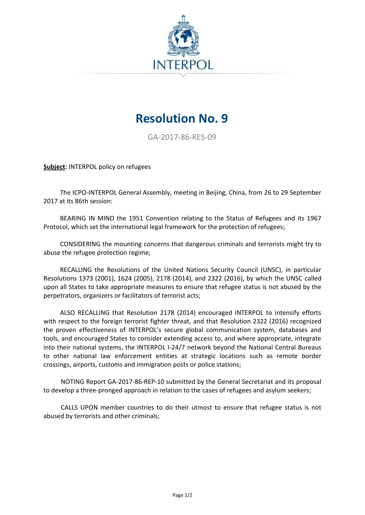

## **Resolution No. 9**

GA-2017-86-RES-09

**Subject:** INTERPOL policy on refugees

The ICPO-INTERPOL General Assembly, meeting in Beijing, China, from 26 to 29 September 2017 at its 86th session:

BEARING IN MIND the 1951 Convention relating to the Status of Refugees and its 1967 Protocol, which set the international legal framework for the protection of refugees;

CONSIDERING the mounting concerns that dangerous criminals and terrorists might try to abuse the refugee protection regime;

RECALLING the Resolutions of the United Nations Security Council (UNSC), in particular Resolutions 1373 (2001), 1624 (2005), 2178 (2014), and 2322 (2016), by which the UNSC called upon all States to take appropriate measures to ensure that refugee status is not abused by the perpetrators, organizers or facilitators of terrorist acts;

ALSO RECALLING that Resolution 2178 (2014) encouraged INTERPOL to intensify efforts with respect to the foreign terrorist fighter threat, and that Resolution 2322 (2016) recognized the proven effectiveness of INTERPOL's secure global communication system, databases and tools, and encouraged States to consider extending access to, and where appropriate, integrate into their national systems, the INTERPOL I-24/7 network beyond the National Central Bureaus to other national law enforcement entities at strategic locations such as remote border crossings, airports, customs and immigration posts or police stations;

NOTING Report GA-2017-86-REP-10 submitted by the General Secretariat and its proposal to develop a three-pronged approach in relation to the cases of refugees and asylum seekers;

CALLS UPON member countries to do their utmost to ensure that refugee status is not abused by terrorists and other criminals;